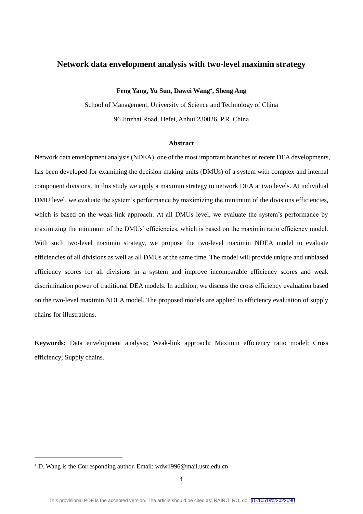# **Network data envelopment analysis with two-level maximin strategy**

**Feng Yang, Yu Sun, Dawei Wang , Sheng Ang**

School of Management, University of Science and Technology of China 96 Jinzhai Road, Hefei, Anhui 230026, P.R. China

# **Abstract**

Network data envelopment analysis (NDEA), one of the most important branches of recent DEA developments, has been developed for examining the decision making units (DMUs) of a system with complex and internal component divisions. In this study we apply a maximin strategy to network DEA at two levels. At individual DMU level, we evaluate the system's performance by maximizing the minimum of the divisions efficiencies, which is based on the weak-link approach. At all DMUs level, we evaluate the system's performance by maximizing the minimum of the DMUs' efficiencies, which is based on the maximin ratio efficiency model. With such two-level maximin strategy, we propose the two-level maximin NDEA model to evaluate efficiencies of all divisions as well as all DMUs at the same time. The model will provide unique and unbiased efficiency scores for all divisions in a system and improve incomparable efficiency scores and weak discrimination power of traditional DEA models. In addition, we discuss the cross efficiency evaluation based on the two-level maximin NDEA model. The proposed models are applied to efficiency evaluation of supply chains for illustrations.

**Keywords:** Data envelopment analysis; Weak-link approach; Maximin efficiency ratio model; Cross efficiency; Supply chains.

1

D. Wang is the Corresponding author. Email: wdw1996@mail.ustc.edu.cn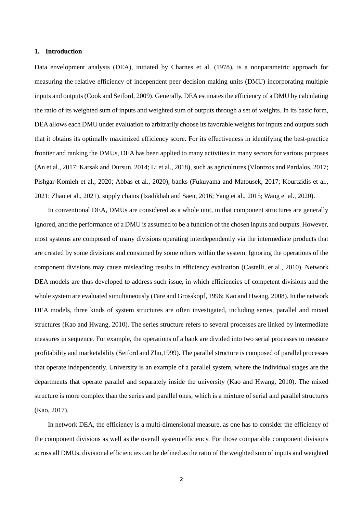#### **1. Introduction**

Data envelopment analysis (DEA), initiated by Charnes et al. (1978), is a nonparametric approach for measuring the relative efficiency of independent peer decision making units (DMU) incorporating multiple inputs and outputs (Cook and Seiford, 2009). Generally, DEA estimates the efficiency of a DMU by calculating the ratio of its weighted sum of inputs and weighted sum of outputs through a set of weights. In its basic form, DEA allows each DMU under evaluation to arbitrarily choose its favorable weights for inputs and outputs such that it obtains its optimally maximized efficiency score. For its effectiveness in identifying the best-practice frontier and ranking the DMUs, DEA has been applied to many activities in many sectors for various purposes (An et al., 2017; Karsak and Dursun, 2014; Li et al., 2018), such as agricultures (Vlontzos and Pardalos, 2017; Pishgar-Komleh et al., 2020; Abbas et al., 2020), banks (Fukuyama and Matousek, 2017; Kourtzidis et al., 2021; Zhao et al., 2021), supply chains (Izadikhah and Saen, 2016; Yang et al., 2015; Wang et al., 2020).

In conventional DEA, DMUs are considered as a whole unit, in that component structures are generally ignored, and the performance of a DMU is assumed to be a function of the chosen inputs and outputs. However, most systems are composed of many divisions operating interdependently via the intermediate products that are created by some divisions and consumed by some others within the system. Ignoring the operations of the component divisions may cause misleading results in efficiency evaluation (Castelli, et al., 2010). Network DEA models are thus developed to address such issue, in which efficiencies of competent divisions and the whole system are evaluated simultaneously (Färe and Grosskopf, 1996; Kao and Hwang, 2008). In the network DEA models, three kinds of system structures are often investigated, including series, parallel and mixed structures (Kao and Hwang, 2010). The series structure refers to several processes are linked by intermediate measures in sequence. For example, the operations of a bank are divided into two serial processes to measure profitability and marketability (Seiford and Zhu,1999). The parallel structure is composed of parallel processes that operate independently. University is an example of a parallel system, where the individual stages are the departments that operate parallel and separately inside the university (Kao and Hwang, 2010). The mixed structure is more complex than the series and parallel ones, which is a mixture of serial and parallel structures (Kao, 2017).

In network DEA, the efficiency is a multi-dimensional measure, as one has to consider the efficiency of the component divisions as well as the overall system efficiency. For those comparable component divisions across all DMUs, divisional efficiencies can be defined as the ratio of the weighted sum of inputs and weighted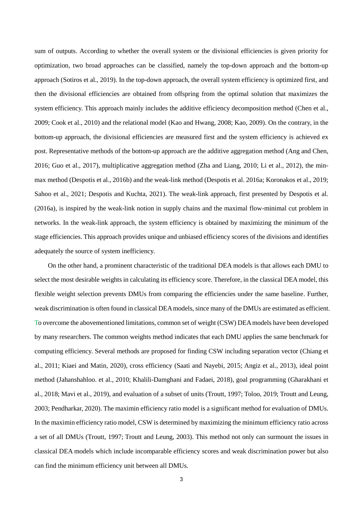sum of outputs. According to whether the overall system or the divisional efficiencies is given priority for optimization, two broad approaches can be classified, namely the top-down approach and the bottom-up approach (Sotiros et al., 2019). In the top-down approach, the overall system efficiency is optimized first, and then the divisional efficiencies are obtained from offspring from the optimal solution that maximizes the system efficiency. This approach mainly includes the additive efficiency decomposition method (Chen et al., 2009; Cook et al., 2010) and the relational model (Kao and Hwang, 2008; Kao, 2009). On the contrary, in the bottom-up approach, the divisional efficiencies are measured first and the system efficiency is achieved ex post. Representative methods of the bottom-up approach are the additive aggregation method (Ang and Chen, 2016; Guo et al., 2017), multiplicative aggregation method (Zha and Liang, 2010; Li et al., 2012), the minmax method (Despotis et al., 2016b) and the weak-link method (Despotis et al. 2016a; Koronakos et al., 2019; Sahoo et al., 2021; Despotis and Kuchta, 2021). The weak-link approach, first presented by Despotis et al. (2016a), is inspired by the weak-link notion in supply chains and the maximal flow-minimal cut problem in networks. In the weak-link approach, the system efficiency is obtained by maximizing the minimum of the stage efficiencies. This approach provides unique and unbiased efficiency scores of the divisions and identifies adequately the source of system inefficiency.

On the other hand, a prominent characteristic of the traditional DEA models is that allows each DMU to select the most desirable weights in calculating its efficiency score. Therefore, in the classical DEA model, this flexible weight selection prevents DMUs from comparing the efficiencies under the same baseline. Further, weak discrimination is often found in classical DEA models, since many of the DMUs are estimated as efficient. To overcome the abovementioned limitations, common set of weight (CSW) DEA models have been developed by many researchers. The common weights method indicates that each DMU applies the same benchmark for computing efficiency. Several methods are proposed for finding CSW including separation vector (Chiang et al., 2011; Kiaei and Matin, 2020), cross efficiency (Saati and Nayebi, 2015; Angiz et al., 2013), ideal point method (Jahanshahloo. et al., 2010; Khalili-Damghani and Fadaei, 2018), goal programming (Gharakhani et al., 2018; Mavi et al., 2019), and evaluation of a subset of units (Troutt, 1997; Toloo, 2019; Troutt and Leung, 2003; Pendharkar, 2020). The maximin efficiency ratio model is a significant method for evaluation of DMUs. In the maximin efficiency ratio model, CSW is determined by maximizing the minimum efficiency ratio across a set of all DMUs (Troutt, 1997; Troutt and Leung, 2003). This method not only can surmount the issues in classical DEA models which include incomparable efficiency scores and weak discrimination power but also can find the minimum efficiency unit between all DMUs.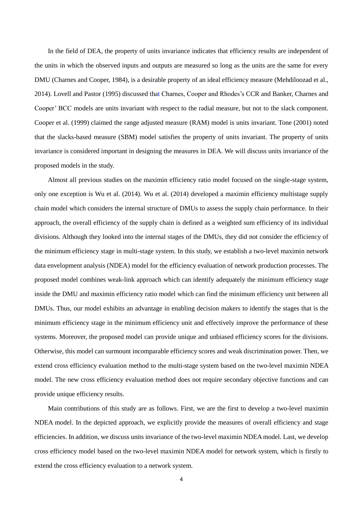In the field of DEA, the property of units invariance indicates that efficiency results are independent of the units in which the observed inputs and outputs are measured so long as the units are the same for every DMU (Charnes and Cooper, 1984), is a desirable property of an ideal efficiency measure (Mehdiloozad et al., 2014). Lovell and Pastor (1995) discussed that Charnes, Cooper and Rhodes's CCR and Banker, Charnes and Cooper' BCC models are units invariant with respect to the radial measure, but not to the slack component. Cooper et al. (1999) claimed the range adjusted measure (RAM) model is units invariant. Tone (2001) noted that the slacks-based measure (SBM) model satisfies the property of units invariant. The property of units invariance is considered important in designing the measures in DEA. We will discuss units invariance of the proposed models in the study.

Almost all previous studies on the maximin efficiency ratio model focused on the single-stage system, only one exception is Wu et al. (2014). Wu et al. (2014) developed a maximin efficiency multistage supply chain model which considers the internal structure of DMUs to assess the supply chain performance. In their approach, the overall efficiency of the supply chain is defined as a weighted sum efficiency of its individual divisions. Although they looked into the internal stages of the DMUs, they did not consider the efficiency of the minimum efficiency stage in multi-stage system. In this study, we establish a two-level maximin network data envelopment analysis (NDEA) model for the efficiency evaluation of network production processes. The proposed model combines weak-link approach which can identify adequately the minimum efficiency stage inside the DMU and maximin efficiency ratio model which can find the minimum efficiency unit between all DMUs. Thus, our model exhibits an advantage in enabling decision makers to identify the stages that is the minimum efficiency stage in the minimum efficiency unit and effectively improve the performance of these systems. Moreover, the proposed model can provide unique and unbiased efficiency scores for the divisions. Otherwise, this model can surmount incomparable efficiency scores and weak discrimination power. Then, we extend cross efficiency evaluation method to the multi-stage system based on the two-level maximin NDEA model. The new cross efficiency evaluation method does not require secondary objective functions and can provide unique efficiency results.

Main contributions of this study are as follows. First, we are the first to develop a two-level maximin NDEA model. In the depicted approach, we explicitly provide the measures of overall efficiency and stage efficiencies. In addition, we discuss units invariance of the two-level maximin NDEA model. Last, we develop cross efficiency model based on the two-level maximin NDEA model for network system, which is firstly to extend the cross efficiency evaluation to a network system.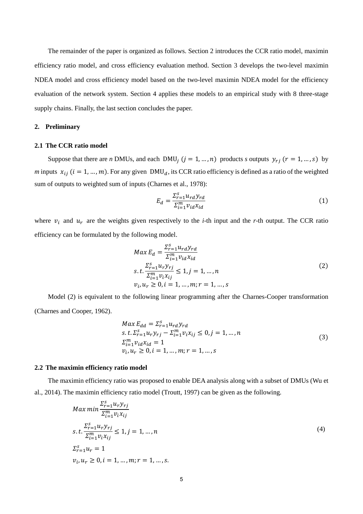The remainder of the paper is organized as follows. Section 2 introduces the CCR ratio model, maximin efficiency ratio model, and cross efficiency evaluation method. Section 3 develops the two-level maximin NDEA model and cross efficiency model based on the two-level maximin NDEA model for the efficiency evaluation of the network system. Section 4 applies these models to an empirical study with 8 three-stage supply chains. Finally, the last section concludes the paper.

#### **2. Preliminary**

# **2.1 The CCR ratio model**

Suppose that there are *n* DMUs, and each DMU<sub>i</sub>  $(j = 1, ..., n)$  products *s* outputs  $y_{rj}$   $(r = 1, ..., s)$  by *m* inputs  $x_{ij}$  ( $i = 1, ..., m$ ). For any given DMU<sub>d</sub>, its CCR ratio efficiency is defined as a ratio of the weighted sum of outputs to weighted sum of inputs (Charnes et al., 1978):

$$
E_d = \frac{\sum_{r=1}^{S} u_{rd} \gamma_{rd}}{\sum_{l=1}^{m} v_{id} x_{id}}
$$
(1)

where  $v_i$  and  $u_r$  are the weights given respectively to the *i*-th input and the *r*-th output. The CCR ratio efficiency can be formulated by the following model.

$$
Max E_d = \frac{\sum_{r=1}^{S} u_{rd} y_{rd}}{\sum_{i=1}^{m} v_{id} x_{id}}
$$
  
s. t.  $\frac{\sum_{r=1}^{S} u_r y_{rj}}{\sum_{i=1}^{m} v_i x_{ij}} \le 1, j = 1, ..., n$   
 $v_i, u_r \ge 0, i = 1, ..., m; r = 1, ..., s$  (2)

Model (2) is equivalent to the following linear programming after the Charnes-Cooper transformation (Charnes and Cooper, 1962).

$$
Max E_{dd} = \sum_{r=1}^{S} u_{rd} y_{rd}
$$
  
s. t.  $\sum_{r=1}^{S} u_r y_{rj} - \sum_{i=1}^{m} v_i x_{ij} \le 0, j = 1, ..., n$   
 $\sum_{i=1}^{m} v_{id} x_{id} = 1$   
 $v_i, u_r \ge 0, i = 1, ..., m; r = 1, ..., s$  (3)

#### **2.2 The maximin efficiency ratio model**

The maximin efficiency ratio was proposed to enable DEA analysis along with a subset of DMUs (Wu et al., 2014). The maximin efficiency ratio model (Troutt, 1997) can be given as the following.

$$
Max min \frac{\sum_{r=1}^{S} u_r y_{rj}}{\sum_{i=1}^{m} v_i x_{ij}} s.t. \frac{\sum_{r=1}^{S} u_r y_{rj}}{\sum_{i=1}^{m} v_i x_{ij}} \le 1, j = 1, ..., n \n\sum_{r=1}^{S} u_r = 1 \n v_i, u_r \ge 0, i = 1, ..., m; r = 1, ..., s.
$$
\n(4)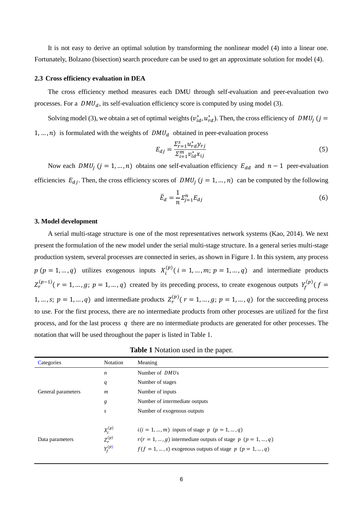It is not easy to derive an optimal solution by transforming the nonlinear model (4) into a linear one. Fortunately, Bolzano (bisection) search procedure can be used to get an approximate solution for model (4).

#### **2.3 Cross efficiency evaluation in DEA**

The cross efficiency method measures each DMU through self-evaluation and peer-evaluation two processes. For a  $DMU_d$ , its self-evaluation efficiency score is computed by using model (3).

Solving model (3), we obtain a set of optimal weights  $(v_{id}^*, u_{rd}^*)$ . Then, the cross efficiency of  $DMU_j$  (j = 1, ..., n) is formulated with the weights of  $DMU_d$  obtained in peer-evaluation process

$$
E_{dj} = \frac{\sum_{r=1}^{S} u_{rd}^* y_{rj}}{\sum_{i=1}^{m} v_{id}^* x_{ij}}
$$
(5)

Now each  $DMU_j$  ( $j = 1, ..., n$ ) obtains one self-evaluation efficiency  $E_{dd}$  and  $n - 1$  peer-evaluation efficiencies  $E_{dj}$ . Then, the cross efficiency scores of  $DMU_j$  ( $j = 1, ..., n$ ) can be computed by the following

$$
\bar{E}_d = \frac{1}{n} \Sigma_{j=1}^n E_{dj} \tag{6}
$$

#### **3. Model development**

 $p (p = 1, ..., q)$  utilizes exogenous inputs  $X_i^{(p)}$  ( $i = 1, ..., m; p = 1, ..., q$ ) and intermediate products A serial multi-stage structure is one of the most representatives network systems (Kao, 2014). We next present the formulation of the new model under the serial multi-stage structure. In a general series multi-stage production system, several processes are connected in series, as shown in Figure 1. In this system, any process  $Z_r^{(p-1)}$  ( $r = 1, ..., g; p = 1, ..., q$ ) created by its preceding process, to create exogenous outputs  $Y_f^{(p)}$  ( $f =$ 1, ..., s;  $p = 1, ..., q$ ) and intermediate products  $Z_r^{(p)}$  ( $r = 1, ..., g; p = 1, ..., q$ ) for the succeeding process to use. For the first process, there are no intermediate products from other processes are utilized for the first process, and for the last process  $q$  there are no intermediate products are generated for other processes. The notation that will be used throughout the paper is listed in Table 1.

| Categories         | <b>Notation</b>                           | Meaning                                                                                                                                                                               |  |  |  |
|--------------------|-------------------------------------------|---------------------------------------------------------------------------------------------------------------------------------------------------------------------------------------|--|--|--|
|                    | $\boldsymbol{n}$                          | Number of <i>DMUs</i>                                                                                                                                                                 |  |  |  |
|                    | q                                         | Number of stages                                                                                                                                                                      |  |  |  |
| General parameters | $\boldsymbol{m}$                          | Number of inputs                                                                                                                                                                      |  |  |  |
|                    | g                                         | Number of intermediate outputs                                                                                                                                                        |  |  |  |
|                    | $\boldsymbol{S}$                          | Number of exogenous outputs                                                                                                                                                           |  |  |  |
| Data parameters    | $X_i^{(p)}$<br>$Z_r^{(p)}$<br>$Y_f^{(p)}$ | $i(i = 1, , m)$ inputs of stage $p$ $(p = 1, , q)$<br>$r(r = 1, , g)$ intermediate outputs of stage p $(p = 1, , q)$<br>$f(f = 1, , s)$ exogenous outputs of stage $p$ $(p = 1, , q)$ |  |  |  |

**Table 1** Notation used in the paper.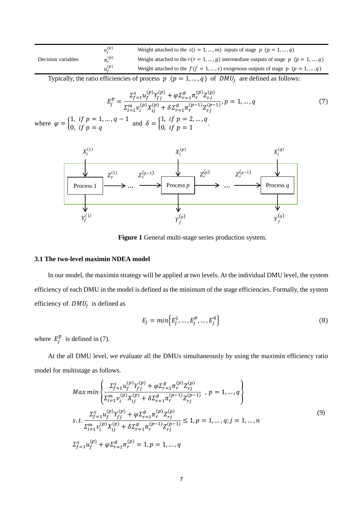|                    | $v_i^{(p)}$          | Weight attached to the $i(i = 1, , m)$ inputs of stage $p$ $(p = 1, , q)$             |
|--------------------|----------------------|---------------------------------------------------------------------------------------|
| Decision variables | $\pi_r^{(p)}$        | Weight attached to the $r(r = 1, , q)$ intermediate outputs of stage p $(p = 1, , q)$ |
|                    | $u_{\epsilon}^{(p)}$ | Weight attached to the $f(f = 1, , s)$ exogenous outputs of stage p $(p = 1, , q)$    |

Typically, the ratio efficiencies of process  $p$  ( $p = 1, ..., q$ ) of  $DMU_j$  are defined as follows:

$$
E_j^p = \frac{\sum_{f=1}^s u_f^{(p)} Y_{fj}^{(p)} + \varphi \sum_{r=1}^g \pi_r^{(p)} Z_{rj}^{(p)}}{\sum_{i=1}^m v_i^{(p)} X_{ij}^{(p)} + \delta \sum_{r=1}^g \pi_r^{(p-1)} Z_{rj}^{(p-1)}}, p = 1, ..., q
$$
\n
$$
1, ..., q - 1 \text{ and } \delta = \begin{cases} 1, & \text{if } p = 2, ..., q \\ 0, & \text{if } p = 1, ..., q \end{cases} \tag{7}
$$

where  $\varphi = \begin{cases} 1, & \text{if } p = 1, ..., q - 1 \\ 0, & \text{if } p = 2 \end{cases}$ 0, if  $p = q$ and  $\delta = \begin{cases} 1, & \text{if } p = 2, ..., q \\ 0, & \text{if } p = 1 \end{cases}$ 0, if  $p = 1$ 



**Figure 1** General multi-stage series production system.

# **3.1 The two-level maximin NDEA model**

In our model, the maximin strategy will be applied at two levels. At the individual DMU level, the system efficiency of each DMU in the model is defined as the minimum of the stage efficiencies. Formally, the system efficiency of  $DMU_j$  is defined as

$$
E_j = min\Big\{E_j^1, ..., E_j^p, ..., E_j^q\Big\}
$$
 (8)

where  $E_j^{\text{p}}$  is defined in (7).

At the all DMU level, we evaluate all the DMUs simultaneously by using the maximin efficiency ratio model for multistage as follows.

$$
Max min \left\{ \frac{\sum_{f=1}^{S} u_f^{(p)} Y_{fj}^{(p)} + \varphi \sum_{r=1}^{g} \pi_r^{(p)} Z_{rj}^{(p)}}{\sum_{i=1}^{m} v_i^{(p)} X_{ij}^{(p)} + \delta \sum_{r=1}^{g} \pi_r^{(p-1)} Z_{rj}^{(p-1)}} , p = 1, ..., q \right\}
$$
  
s.t. 
$$
\frac{\sum_{f=1}^{S} u_f^{(p)} Y_{fj}^{(p)} + \varphi \sum_{r=1}^{g} \pi_r^{(p)} Z_{rj}^{(p)}}{\sum_{i=1}^{m} v_i^{(p)} X_{ij}^{(p)} + \delta \sum_{r=1}^{g} \pi_r^{(p-1)} Z_{rj}^{(p-1)}} \le 1, p = 1, ..., q; j = 1, ..., n
$$
  

$$
\sum_{f=1}^{S} u_f^{(p)} + \varphi \sum_{r=1}^{g} \pi_r^{(p)} = 1, p = 1, ..., q
$$
  
(9)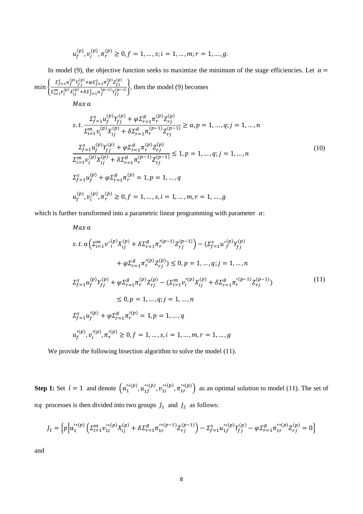$$
u_f^{(p)}, v_i^{(p)}, \pi_r^{(p)} \ge 0, f = 1, \dots, s; i = 1, \dots, m; r = 1, \dots, g.
$$

In model (9), the objective function seeks to maximize the minimum of the stage efficiencies. Let  $\alpha =$  $min\left\{\frac{\sum_{f=1}^{S}u_{f}^{(p)}Y_{fj}^{(p)} + \varphi\Sigma_{f=1}^{S}\pi_{f}^{(p)}Z_{fj}^{(p)}}{m(n)(p)\right\}$  $\frac{\sum_{j=1}^{n} r_j \sum_{j=1}^{n} (r_j - 1) \sum_{j=1}^{n} (r_j - 1) \sum_{j=1}^{n} (r_j - 1) \sum_{j=1}^{n} (r_j - 1) \sum_{j=1}^{n} (r_j - 1) \sum_{j=1}^{n} (r_j - 1) \sum_{j=1}^{n} (r_j - 1) \sum_{j=1}^{n} (r_j - 1) \sum_{j=1}^{n} (r_j - 1) \sum_{j=1}^{n} (r_j - 1) \sum_{j=1}^{n} (r_j - 1) \sum_{j=1}^{n} (r_j - 1) \sum$  $Max \alpha$ 

$$
s.t. \frac{\sum_{f=1}^{S} u_f^{(p)} Y_{fj}^{(p)} + \varphi \sum_{r=1}^{g} \pi_r^{(p)} Z_{rj}^{(p)}}{\sum_{i=1}^{m} v_i^{(p)} X_{ij}^{(p)} + \delta \sum_{r=1}^{g} \pi_r^{(p-1)} Z_{rj}^{(p-1)}} \ge \alpha, p = 1, ..., q; j = 1, ..., n
$$
  

$$
\frac{\sum_{f=1}^{S} u_f^{(p)} Y_{fj}^{(p)} + \varphi \sum_{r=1}^{g} \pi_r^{(p)} Z_{rj}^{(p)}}{\sum_{i=1}^{m} v_i^{(p)} X_{ij}^{(p)} + \delta \sum_{r=1}^{g} \pi_r^{(p-1)} Z_{rj}^{(p-1)}} \le 1, p = 1, ..., q; j = 1, ..., n
$$
  

$$
\sum_{f=1}^{S} u_f^{(p)} + \varphi \sum_{r=1}^{g} \pi_r^{(p)} = 1, p = 1, ..., q
$$
  

$$
u_f^{(p)}, v_i^{(p)}, \pi_r^{(p)} \ge 0, f = 1, ..., s, i = 1, ..., m, r = 1, ..., g
$$
  
(10)

which is further transformed into a parametric linear programming with parameter  $\alpha$ :

$$
Max \alpha
$$
\n
$$
s.t. \alpha \left( \sum_{i=1}^{m} v'_{i}^{(p)} X_{ij}^{(p)} + \delta \sum_{r=1}^{g} \pi_{r}^{'(p-1)} Z_{rj}^{(p-1)} \right) - \left( \sum_{f=1}^{s} u'_{f}^{(p)} Y_{fj}^{(p)} + \varphi \sum_{r=1}^{g} \pi_{r}^{'(p)} Z_{rj}^{(p)} \right) \leq 0, p = 1, ..., q; j = 1, ..., n
$$
\n
$$
\sum_{f=1}^{s} u_{f}^{(p)} Y_{fj}^{(p)} + \varphi \sum_{r=1}^{g} \pi_{r}^{(p)} Z_{rj}^{(p)} - \left( \sum_{i=1}^{m} v'_{i}^{(p)} X_{ij}^{(p)} + \delta \sum_{r=1}^{g} \pi_{r}^{'(p-1)} Z_{rj}^{(p-1)} \right) \leq 0, p = 1, ..., q; j = 1, ..., n
$$
\n
$$
\sum_{f=1}^{s} u'_{f}^{(p)} + \varphi \sum_{r=1}^{g} \pi_{r}^{'(p)} = 1, p = 1, ..., q
$$
\n
$$
u'_{f}^{(p)}, v'_{i}^{(p)}, \pi_{r}^{'(p)} \geq 0, f = 1, ..., s, i = 1, ..., m, r = 1, ..., g
$$
\n
$$
(11)
$$

We provide the following bisection algorithm to solve the model (11).

**Step 1:** Set  $l = 1$  and denote  $(\alpha_1^{k}(p), u_{1f}^{k}(p), \alpha_{1i}^{k}(p), \pi_{1r}^{k}(p))$  as an optimal solution to model (11). The set of  $nq$  processes is then divided into two groups  $J_1$  and  $J_2$  as follows:

$$
J_1 = \left\{ p \Big| \alpha_1^{\prime*(p)} \Big( \Sigma_{i=1}^m v_{1i}^{\prime*(p)} X_{ij}^{(p)} + \delta \Sigma_{r=1}^g \pi_{1r}^{\prime*(p-1)} Z_{rj}^{(p-1)} \Big) - \Sigma_{f=1}^s u_{1f}^{\prime*(p)} Y_{fj}^{(p)} - \varphi \Sigma_{r=1}^g \pi_{1r}^{\prime*(p)} Z_{rj}^{(p)} = 0 \right\}
$$

and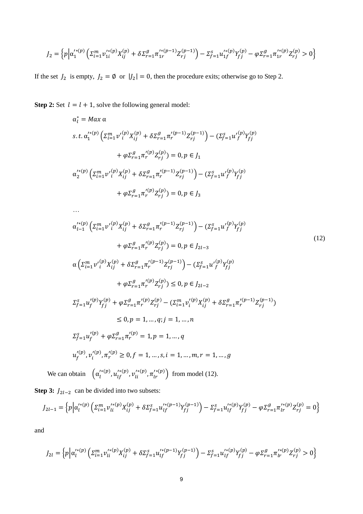$$
J_2 = \left\{ p \Big| \alpha_1'^{*(p)} \Big( \Sigma_{i=1}^m v_{1i}'^{*(p)} X_{ij}^{(p)} + \delta \Sigma_{r=1}^g \pi_{1r}'^{*(p-1)} Z_{rj}^{(p-1)} \Big) - \Sigma_{f=1}^s u_{1f}'^{*(p)} Y_{fj}^{(p)} - \varphi \Sigma_{r=1}^g \pi_{1r}'^{*(p)} Z_{rj}^{(p)} > 0 \right\}
$$

If the set  $J_2$  is empty,  $J_2 = \emptyset$  or  $|J_2| = 0$ , then the procedure exits; otherwise go to Step 2.

**Step 2:** Set  $l = l + 1$ , solve the following general model:

…

$$
\alpha_l^* = Max \alpha
$$
\n
$$
s. t. \alpha_1'^{* (p)} \left( \Sigma_{i=1}^m v'_i \right) X_{ij}^{(p)} + \delta \Sigma_{r=1}^g \pi_r'^{(p-1)} Z_{rj}^{(p-1)} \right) - \left( \Sigma_{f=1}^s u'_f \right) Y_{fj}^{(p)}
$$
\n
$$
+ \varphi \Sigma_{r=1}^g \pi_r'^{(p)} Z_{rj}^{(p)} = 0, p \in J_1
$$
\n
$$
\alpha_2'^{* (p)} \left( \Sigma_{i=1}^m v'_i \right) X_{ij}^{(p)} + \delta \Sigma_{r=1}^g \pi_r'^{(p-1)} Z_{rj}^{(p-1)} \right) - \left( \Sigma_{f=1}^s u'_f \right) Y_{fj}^{(p)}
$$
\n
$$
+ \varphi \Sigma_{r=1}^g \pi_r'^{(p)} Z_{rj}^{(p)} = 0, p \in J_3
$$

 $\alpha_{l-1}^{\prime*(p)}\left(\varSigma_{i=1}^{m}{v'}_i^{0}\right)$  $\left(\begin{matrix} {p} \\ {i} \end{matrix}\right) X_{ij}^{(p)} + \delta \Sigma_{r=1}^{g} \pi_r'^{(p-1)} Z_{rj}^{(p-1)} - \left(\Sigma_{f=1}^{s} u'\right)_{r=1}^{r}$  $\binom{p}{f} Y_{fj}^{(p)}$  $+\varphi\Sigma_{r=1}^g \pi_r^{\prime(p)} Z_{rj}^{(p)} = 0, p \in J_{2l-3}$  $\alpha\left(\varSigma_{i=1}^{m} {\scriptstyle{\mathcal{V}}'}_{i}^{0}\right)$  $\left(\begin{matrix} {p} \\ {i} \end{matrix}\right) X_{ij}^{(p)} + \delta \Sigma_{r=1}^{g} \pi_r'^{(p-1)} Z_{rj}^{(p-1)} - \left(\Sigma_{f=1}^{s} u'\right)_{r=1}^{(p-1)}$  $\binom{p}{f} Y_{fj}^{(p)}$  $+\varphi\Sigma_{r=1}^g \pi_r'^{(p)} Z_{rj}^{(p)}) \leq 0, p \in J_{2l-2}$  $\Sigma_{f=1}^s u_f^{\prime (p)} Y_{fj}^{(p)} + \varphi \Sigma_{r=1}^g \pi_r^{\prime (p)} Z_{rj}^{(p)} - (\Sigma_{i=1}^m v_i^{\prime (p)} X_{ij}^{(p)} + \delta \Sigma_{r=1}^g \pi_r^{\prime (p-1)} Z_{rj}^{(p-1)})$  $\leq 0, p = 1, ..., q; j = 1, ..., n$  $\Sigma_{f=1}^{s} u_f^{\prime (p)} + \varphi \Sigma_{r=1}^{g} \pi_r^{\prime (p)} = 1, p = 1, ..., q$  $u'^{(p)}_f, v'^{(p)}_i, \pi'^{(p)}_r \ge 0, f = 1, ..., s, i = 1, ..., m, r = 1, ..., g$ (12)

We can obtain  $\left( \alpha_l^{'*(p)}, u_{lf}^{'*(p)}, v_{li}^{'*(p)}, \pi_{lr}^{'*(p)} \right)$  from model (12).

**Step 3:**  $J_{2l-2}$  can be divided into two subsets:

$$
J_{2l-1} = \left\{ p \Big| \alpha_l'^{(i)} \Big( \Sigma_{i=1}^m v_{li}'^{(i)} X_{ij}^{(p)} + \delta \Sigma_{f=1}^s u_{lf}'^{(p-1)} Y_{fj}^{(p-1)} \Big) - \Sigma_{f=1}^s u_{lf}'^{(i)} Y_{fj}^{(p)} - \varphi \Sigma_{r=1}^g \pi_{lr}'^{(i)} Z_{rj}^{(p)} = 0 \right\}
$$

and

$$
J_{2l} = \left\{ p \Big| \alpha_l'^{*(p)} \Big( \Sigma_{i=1}^m v_{li}'^{*(p)} X_{ij}^{(p)} + \delta \Sigma_{f=1}^s u_{lf}'^{*(p-1)} Y_{fj}^{(p-1)} \Big) - \Sigma_{f=1}^s u_{lf}'^{*(p)} Y_{fj}^{(p)} - \varphi \Sigma_{r=1}^g \pi_{lr}'^{*(p)} Z_{rj}^{(p)} > 0 \right\}
$$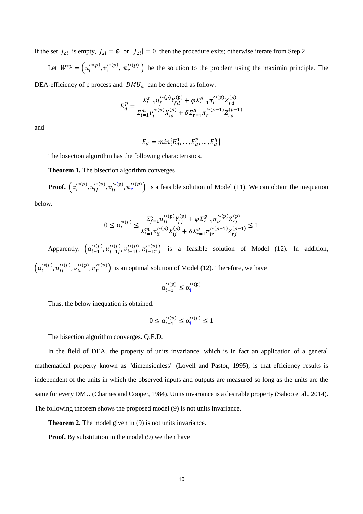If the set  $J_{2l}$  is empty,  $J_{2l} = \emptyset$  or  $|J_{2l}| = 0$ , then the procedure exits; otherwise iterate from Step 2.

Let  $W^{*p} = (u_f^{(k)}', v_i^{(k)}', \pi_r^{(k)}')$  be the solution to the problem using the maximin principle. The

DEA-efficiency of p process and  $DMU_d$  can be denoted as follow:

$$
E_d^p = \frac{\sum_{f=1}^s u_f'^{(p)} Y_{fd}^{(p)} + \varphi \sum_{r=1}^g \pi_r'^{(p)} Z_{rd}^{(p)}}{\sum_{i=1}^m v_i'^{(p)} X_{id}^{(p)} + \delta \sum_{r=1}^g \pi_r'^{(p-1)} Z_{rd}^{(p-1)}}
$$

and

$$
E_d = min\{E_d^1, \dots, E_d^p, \dots, E_d^q\}
$$

The bisection algorithm has the following characteristics.

**Theorem 1.** The bisection algorithm converges.

r **Proof.**  $(\alpha_l^{r(p)}, u_{lf}^{r(p)}, v_{li}^{r(p)}, \pi_r^{r(p)})$  is a feasible solution of Model (11). We can obtain the inequation lf  $u_{1}^{\prime\ast(p)}$ ,  $u_{1f}^{\prime\ast(p)}$ ,  $v_{1i}^{\prime\ast}$ li

below.

$$
0 \le \alpha_{l}^{'*(p)} \le \frac{\sum_{f=1}^{S} u_{lf}^{'*(p)} Y_{fj}^{(p)} + \varphi \sum_{r=1}^{g} \pi_{lr}^{'*(p)} Z_{rj}^{(p)}}{\sum_{i=1}^{m} v_{li}^{'*(p)} X_{ij}^{(p)} + \delta \sum_{r=1}^{g} \pi_{lr}^{'*(p-1)} Z_{rj}^{(p-1)}} \le 1
$$

Apparently,  $\left( \alpha_{l-1}^{(\ast(p)}, u_{l-1}^{(\ast(p)}, v_{l-1}^{(\ast(p)}) \tau_{l-1}^{(\ast(p)}) \right)$  is a feasible solution of Model (12). In addition, − ( 1  $\overline{p}$ f )<br>f<sup>,  $v'^{*}_{l-1}$ </sup>  $1*i*$  $_{1i}^{(p)}$  ,  $\pi_{l-}^{\prime\ast}$ 1 ( r  $\left(\begin{array}{c} \n u^{(k)}(p) & \nu^{(k)}(p) \\ \n v^{(k)}(p) & \nu^{(k)}(p) \\ \n v^{(k)}(p) & \nu^{(k)}(p) \n \end{array}\right)$  $\left(\alpha_l^{'*(p)}, u_{lf}^{'*(p)}, v_{li}^{'*(p)}, \pi_r^{'*(p)}\right)$  is an optimal solution of Model (12). Therefore, we have li

$$
\alpha_{l-1}^{\prime\ast(p)} \leq \alpha_{l}^{\prime\ast(p)}
$$

Thus, the below inequation is obtained.

$$
0 \le \alpha_{l-1}^{\prime * (p)} \le \alpha_l^{\prime * (p)} \le 1
$$

The bisection algorithm converges. Q.E.D.

In the field of DEA, the property of units invariance, which is in fact an application of a general mathematical property known as "dimensionless" (Lovell and Pastor, 1995), is that efficiency results is independent of the units in which the observed inputs and outputs are measured so long as the units are the same for every DMU (Charnes and Cooper, 1984). Units invariance is a desirable property (Sahoo et al., 2014). The following theorem shows the proposed model (9) is not units invariance.

**Theorem 2.** The model given in (9) is not units invariance.

**Proof.** By substitution in the model (9) we then have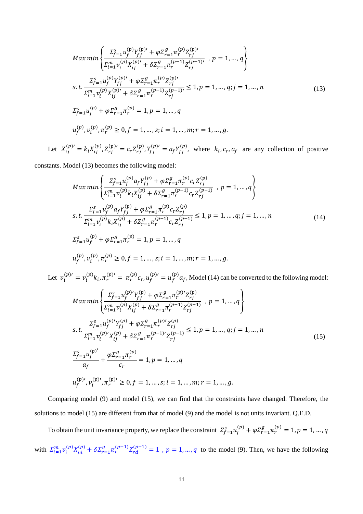$$
Max min \left\{ \frac{\sum_{f=1}^{S} u_f^{(p)} Y_{fj}^{(p)'} + \varphi \sum_{r=1}^{g} \pi_r^{(p)} Z_{rj}^{(p)'} }{\sum_{i=1}^{m} v_i^{(p)} X_{ij}^{(p)' + \delta \sum_{r=1}^{g} \pi_r^{(p-1)} Z_{rj}^{(p-1)'}}, \ p = 1, ..., q \right\}
$$
\n
$$
s.t. \frac{\sum_{f=1}^{S} u_f^{(p)} Y_{fj}^{(p)'} + \varphi \sum_{r=1}^{g} \pi_r^{(p)} Z_{rj}^{(p)'} }{\sum_{i=1}^{m} v_i^{(p)} X_{ij}^{(p)'} + \delta \sum_{r=1}^{g} \pi_r^{(p-1)} Z_{rj}^{(p-1)'} } \le 1, p = 1, ..., q; j = 1, ..., n
$$
\n
$$
\sum_{f=1}^{S} u_f^{(p)} + \varphi \sum_{r=1}^{g} \pi_r^{(p)} = 1, p = 1, ..., q
$$
\n
$$
u_f^{(p)}, v_i^{(p)}, \pi_r^{(p)} \ge 0, f = 1, ..., s; i = 1, ..., m; r = 1, ..., g.
$$
\n
$$
u_f^{(p)}, v_i^{(p)}, \pi_r^{(p)} \ge 0, f = 1, ..., s; i = 1, ..., m; r = 1, ..., g.
$$
\n
$$
u_f^{(p)}, v_i^{(p)}, \pi_r^{(p)} \ge 0, f = 1, ..., s; i = 1, ..., m; r = 1, ..., g.
$$
\n
$$
u_f^{(p)}, v_i^{(p)}, \pi_r^{(p)} \ge 0, f = 1, ..., s; i = 1, ..., m; r = 1, ..., g.
$$
\n
$$
u_f^{(p)}, v_i^{(p)}, \pi_r^{(p)} \ge 0, f = 1, ..., s; i = 1, ..., m; r = 1, ..., g.
$$
\n
$$
u_f^{(p)}, v_i^{(p)}, \pi_r^{(p)} \ge 0, f = 1, ..., s; i = 1, ..., m; r = 1, ..., g.
$$
\n
$$
u_f^{(p)}, v_i^{(p)}, \pi_r^{(p)}, \pi_r^{(p)}, \pi_r^{(p)}, \pi_r^{(p)}, \pi_r^{(p)}, \pi_r^{(p)}, \pi_r^{(p)},
$$

Let  $X_{ij}^{(p)}' = k_i X_{ij}^{(p)}, Z_{rj}^{(p)} = c_r Z_{rj}^{(p)}, Y_{fj}^{(p)} = a_f Y_{fj}^{(p)}$ , where  $k_i, c_r, a_f$  are any collection of positive

constants. Model (13) becomes the following model:

$$
Max min \left\{ \frac{\sum_{f=1}^{S} u_f^{(p)} a_f Y_{fj}^{(p)} + \varphi \sum_{r=1}^{g} \pi_r^{(p)} c_r Z_{rj}^{(p)}}{\sum_{i=1}^{m} v_i^{(p)} k_i X_{ij}^{(p)} + \delta \sum_{r=1}^{g} \pi_r^{(p-1)} c_r Z_{rj}^{(p-1)}} \right\}, p = 1, ..., q \right\}
$$
  

$$
s.t. \frac{\sum_{f=1}^{S} u_f^{(p)} a_f Y_{fj}^{(p)} + \varphi \sum_{r=1}^{g} \pi_r^{(p)} c_r Z_{rj}^{(p)}}{\sum_{i=1}^{m} v_i^{(p)} k_i X_{ij}^{(p)} + \delta \sum_{r=1}^{g} \pi_r^{(p-1)} c_r Z_{rj}^{(p-1)}} \le 1, p = 1, ..., q; j = 1, ..., n
$$
  

$$
\sum_{f=1}^{S} u_f^{(p)} + \varphi \sum_{r=1}^{g} \pi_r^{(p)} = 1, p = 1, ..., q
$$
  

$$
u_f^{(p)}, v_i^{(p)}, \pi_r^{(p)} \ge 0, f = 1, ..., s; i = 1, ..., m; r = 1, ..., g.
$$
 (14)

Let  $v_i^{(p)} = v_i^{(p)} k_i$ ,  $\pi_r^{(p)} = \pi_r^{(p)} c_r$ ,  $u_f^{(p)} = u_f^{(p)} a_f$ , Model (14) can be converted to the following model:

$$
Max min \left\{ \frac{\sum_{f=1}^{S} u_f^{(p)} Y_{fj}^{(p)} + \varphi \sum_{r=1}^{g} \pi_r^{(p)} Z_{rj}^{(p)}}{\sum_{i=1}^{m} v_i^{(p)} X_{ij}^{(p)} + \delta \sum_{r=1}^{g} \pi_r^{(p-1)} Z_{rj}^{(p-1)}} , p = 1, ..., q \right\}
$$
  
s.t. 
$$
\frac{\sum_{f=1}^{S} u_f^{(p)} Y_{fj}^{(p)} + \varphi \sum_{r=1}^{g} \pi_r^{(p)} Z_{rj}^{(p)}}{\sum_{i=1}^{m} v_i^{(p)} X_{ij}^{(p)} + \delta \sum_{r=1}^{g} \pi_r^{(p-1)} Z_{rj}^{(p-1)}} \le 1, p = 1, ..., q; j = 1, ..., n
$$

$$
\frac{\sum_{f=1}^{S} u_f^{(p)}}{a_f} + \frac{\varphi \sum_{r=1}^{g} \pi_r^{(p)}}{c_r} = 1, p = 1, ..., q
$$
(15)
$$
u_f^{(p)}, v_i^{(p)}, \pi_r^{(p)} \ge 0, f = 1, ..., s; i = 1, ..., m; r = 1, ..., g.
$$

Comparing model (9) and model (15), we can find that the constraints have changed. Therefore, the solutions to model (15) are different from that of model (9) and the model is not units invariant. Q.E.D.

To obtain the unit invariance property, we replace the constraint  $\sum_{f=1}^{S} u_f^{(p)} + \varphi \sum_{r=1}^{g} \pi_r^{(p)} = 1, p = 1, ..., q$ with  $\sum_{i=1}^m v_i^{(p)} X_{id}^{(p)} + \delta \sum_{r=1}^g \pi_r^{(p-1)} Z_{rd}^{(p-1)} = 1$ ,  $p = 1, ..., q$  to the model (9). Then, we have the following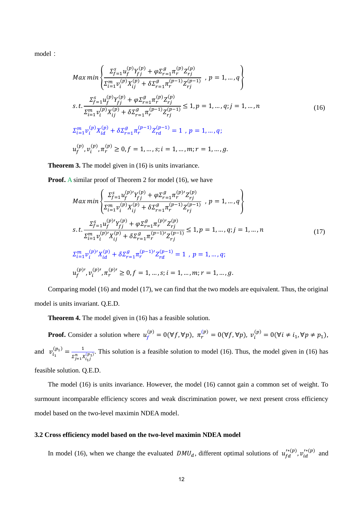model:

$$
Max min \left\{ \frac{\sum_{j=1}^{S} u_{f}^{(p)} Y_{fj}^{(p)} + \varphi \sum_{r=1}^{g} \pi_{r}^{(p)} Z_{rj}^{(p)}}{\sum_{i=1}^{m} v_{i}^{(p)} X_{ij}^{(p)} + \delta \sum_{r=1}^{g} \pi_{r}^{(p-1)} Z_{rj}^{(p-1)}} , p = 1, ..., q \right\}
$$
  

$$
s.t. \frac{\sum_{j=1}^{S} u_{f}^{(p)} Y_{fj}^{(p)} + \varphi \sum_{r=1}^{g} \pi_{r}^{(p)} Z_{rj}^{(p)}}{\sum_{i=1}^{m} v_{i}^{(p)} X_{ij}^{(p)} + \delta \sum_{r=1}^{g} \pi_{r}^{(p-1)} Z_{rj}^{(p-1)}} \le 1, p = 1, ..., q; j = 1, ..., n
$$
  

$$
\sum_{i=1}^{m} v_{i}^{(p)} X_{id}^{(p)} + \delta \sum_{r=1}^{g} \pi_{r}^{(p-1)} Z_{rd}^{(p-1)} = 1, p = 1, ..., q;
$$
  

$$
u_{f}^{(p)}, v_{i}^{(p)}, \pi_{r}^{(p)} \ge 0, f = 1, ..., s; i = 1, ..., m; r = 1, ..., g.
$$
  
(16)

**Theorem 3.** The model given in (16) is units invariance.

**Proof.** A similar proof of Theorem 2 for model (16), we have

$$
Max min \left\{ \frac{\sum_{f=1}^{S} u_f^{(p)} Y_{fj}^{(p)} + \varphi \sum_{r=1}^{g} \pi_r^{(p)} Z_{rj}^{(p)}}{\sum_{i=1}^{m} v_i^{(p)} X_{ij}^{(p)} + \delta \sum_{r=1}^{g} \pi_r^{(p-1)} Z_{rj}^{(p-1)}} , p = 1, ..., q \right\}
$$
  
s.t. 
$$
\frac{\sum_{f=1}^{S} u_f^{(p)} Y_{fj}^{(p)} + \varphi \sum_{r=1}^{g} \pi_r^{(p)} Z_{rj}^{(p)}}{\sum_{i=1}^{m} v_i^{(p)} X_{ij}^{(p)} + \delta \sum_{r=1}^{g} \pi_r^{(p-1)} Z_{rj}^{(p-1)}} \le 1, p = 1, ..., q; j = 1, ..., n
$$

$$
\sum_{i=1}^{m} v_i^{(p)} X_{id}^{(p)} + \delta \sum_{r=1}^{g} \pi_r^{(p-1)} Z_{rd}^{(p-1)} = 1, p = 1, ..., q;
$$

$$
u_f^{(p)}, v_i^{(p)}, \pi_r^{(p)} \ge 0, f = 1, ..., s; i = 1, ..., m; r = 1, ..., g.
$$

$$
(17)
$$

Comparing model (16) and model (17), we can find that the two models are equivalent. Thus, the original model is units invariant. Q.E.D.

**Theorem 4.** The model given in (16) has a feasible solution.

**Proof.** Consider a solution where  $u_f^{(p)} = 0(\forall f, \forall p)$ ,  $\pi_r^{(p)} = 0(\forall f, \forall p)$ ,  $v_i^{(p)} = 0(\forall i \neq i_1, \forall p \neq p_1)$ , and  $v_i^{(p_1)} = \frac{1}{x_i^{(p_2)}}$ . This solution is a feasible solution to model (16). Thus, the model given in (16) has  $\Sigma_{j=1}^n X_{i_1j}^{(p_1)}$  $u_f = v(v_J, v_P), u_r = v(v_J, v_P), v_i$ 1  $i_1 = \frac{1}{\sqrt{n}}$ feasible solution. Q.E.D.

The model (16) is units invariance. However, the model (16) cannot gain a common set of weight. To surmount incomparable efficiency scores and weak discrimination power, we next present cross efficiency model based on the two-level maximin NDEA model.

#### **3.2 Cross efficiency model based on the two-level maximin NDEA model**

In model (16), when we change the evaluated  $DMU_d$ , different optimal solutions of  $u_{fd}^{(*(p)}, v_{id}^{(*(p))})$  and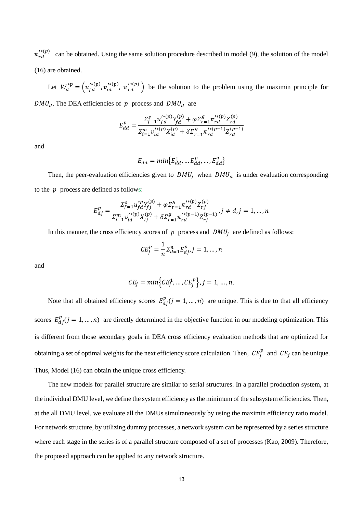$\pi'_{rd}^{(*)}(p)$  can be obtained. Using the same solution procedure described in model (9), the solution of the model (16) are obtained.

Let  $W_d^{*p} = (u_{fd}^{\prime * (p)}, v_{id}^{\prime * (p)}, \pi_{rd}^{\prime * (p)})$  $\overline{d}$ <sup>\*(p)</sup>,  $v_{id}^{I*}(p)$ ,  $\pi_{rd}^{I*}(p)$  be the solution to the problem using the maximin principle for

 $DMU_d$ . The DEA efficiencies of p process and  $DMU_d$  are

$$
E_{dd}^{p} = \frac{\sum_{f=1}^{S} u_{fd}^{'*(p)} Y_{fd}^{(p)} + \varphi \Sigma_{r=1}^{g} \pi_{rd}^{'*(p)} Z_{rd}^{(p)}}{\sum_{i=1}^{m} v_{id}^{'*(p)} X_{id}^{(p)} + \delta \Sigma_{r=1}^{g} \pi_{rd}^{'*(p-1)} Z_{rd}^{(p-1)}}
$$

and

$$
E_{dd} = min\{E_{dd}^1, \dots E_{dd}^p, \dots, E_{dd}^q\}
$$

Then, the peer-evaluation efficiencies given to  $DMU_j$  when  $DMU_d$  is under evaluation corresponding to the  $p$  process are defined as follows:

$$
E_{dj}^p = \frac{\Sigma_{f=1}^s u_{fd}^{*p} Y_{fj}^{(p)} + \varphi \Sigma_{r=1}^g \pi_{rd}^{'*(p)} Z_{rj}^{(p)}}{\Sigma_{i=1}^m v_{id}^{'*(p)} X_{ij}^{(p)} + \delta \Sigma_{r=1}^g \pi_{rd}^{'*(p-1)} Z_{rj}^{(p-1)}}, j \neq d, j = 1, ..., n
$$

In this manner, the cross efficiency scores of  $p$  process and  $DMU<sub>j</sub>$  are defined as follows:

$$
CE_j^p = \frac{1}{n} \sum_{d=1}^n E_{dj}^p, j = 1, ..., n
$$

and

$$
CE_j = min\Big\{CE_j^1, \ldots, CE_j^p\Big\}, j = 1, \ldots, n.
$$

Note that all obtained efficiency scores  $E_{dj}^p(j = 1, ..., n)$  are unique. This is due to that all efficiency scores  $E_{dj}^{p}(j = 1, ..., n)$  are directly determined in the objective function in our modeling optimization. This is different from those secondary goals in DEA cross efficiency evaluation methods that are optimized for obtaining a set of optimal weights for the next efficiency score calculation. Then,  $CE_j^p$  and  $CE_j$  can be unique. Thus, Model (16) can obtain the unique cross efficiency.

The new models for parallel structure are similar to serial structures. In a parallel production system, at the individual DMU level, we define the system efficiency as the minimum of the subsystem efficiencies. Then, at the all DMU level, we evaluate all the DMUs simultaneously by using the maximin efficiency ratio model. For network structure, by utilizing dummy processes, a network system can be represented by a series structure where each stage in the series is of a parallel structure composed of a set of processes (Kao, 2009). Therefore, the proposed approach can be applied to any network structure.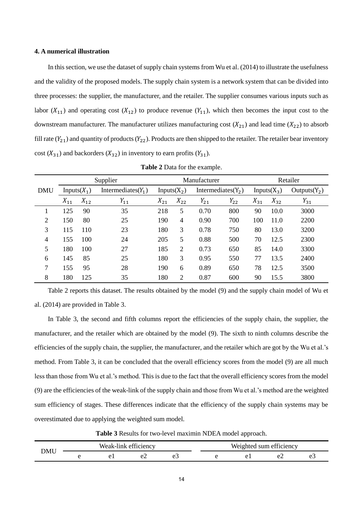## **4. A numerical illustration**

In this section, we use the dataset of supply chain systems from Wu et al. (2014) to illustrate the usefulness and the validity of the proposed models. The supply chain system is a network system that can be divided into three processes: the supplier, the manufacturer, and the retailer. The supplier consumes various inputs such as labor  $(X_{11})$  and operating cost  $(X_{12})$  to produce revenue  $(Y_{11})$ , which then becomes the input cost to the downstream manufacturer. The manufacturer utilizes manufacturing cost  $(X_{21})$  and lead time  $(X_{22})$  to absorb fill rate  $(Y_{21})$  and quantity of products  $(Y_{22})$ . Products are then shipped to the retailer. The retailer bear inventory cost  $(X_{31})$  and backorders  $(X_{32})$  in inventory to earn profits  $(Y_{31})$ .

|            | Supplier       |          |                       |                |                | Manufacturer          | Retailer |                |          |                |
|------------|----------------|----------|-----------------------|----------------|----------------|-----------------------|----------|----------------|----------|----------------|
| <b>DMU</b> | Inputs $(X_1)$ |          | Intermediates $(Y_1)$ | Inputs $(X_2)$ |                | Intermediates $(Y_2)$ |          | Inputs $(X_3)$ |          | $Outputs(Y_2)$ |
|            | $X_{11}$       | $X_{12}$ | $Y_{11}$              | $X_{21}$       | $X_{22}$       | $Y_{21}$              | $Y_{22}$ | $X_{31}$       | $X_{32}$ | $Y_{31}$       |
|            | 125            | 90       | 35                    | 218            | 5              | 0.70                  | 800      | 90             | 10.0     | 3000           |
| 2          | 150            | 80       | 25                    | 190            | 4              | 0.90                  | 700      | 100            | 11.0     | 2200           |
| 3          | 115            | 110      | 23                    | 180            | 3              | 0.78                  | 750      | 80             | 13.0     | 3200           |
| 4          | 155            | 100      | 24                    | 205            | 5              | 0.88                  | 500      | 70             | 12.5     | 2300           |
| 5          | 180            | 100      | 27                    | 185            | $\overline{2}$ | 0.73                  | 650      | 85             | 14.0     | 3300           |
| 6          | 145            | 85       | 25                    | 180            | 3              | 0.95                  | 550      | 77             | 13.5     | 2400           |
| 7          | 155            | 95       | 28                    | 190            | 6              | 0.89                  | 650      | 78             | 12.5     | 3500           |
| 8          | 180            | 125      | 35                    | 180            | 2              | 0.87                  | 600      | 90             | 15.5     | 3800           |

**Table 2** Data for the example.

Table 2 reports this dataset. The results obtained by the model (9) and the supply chain model of Wu et al. (2014) are provided in Table 3.

In Table 3, the second and fifth columns report the efficiencies of the supply chain, the supplier, the manufacturer, and the retailer which are obtained by the model (9). The sixth to ninth columns describe the efficiencies of the supply chain, the supplier, the manufacturer, and the retailer which are got by the Wu et al.'s method. From Table 3, it can be concluded that the overall efficiency scores from the model (9) are all much less than those from Wu et al.'s method. This is due to the fact that the overall efficiency scores from the model (9) are the efficiencies of the weak-link of the supply chain and those from Wu et al.'s method are the weighted sum efficiency of stages. These differences indicate that the efficiency of the supply chain systems may be overestimated due to applying the weighted sum model.

**Table 3** Results for two-level maximin NDEA model approach.

|            | Weak-link efficiency |               |    |    | Weighted<br>l sum efficiency |        |    |                               |
|------------|----------------------|---------------|----|----|------------------------------|--------|----|-------------------------------|
| <b>DMU</b> |                      | $\sim$ $\sim$ | ◡▱ | ັັ |                              | $\sim$ | ◡▵ | $\overline{\phantom{0}}$<br>ັ |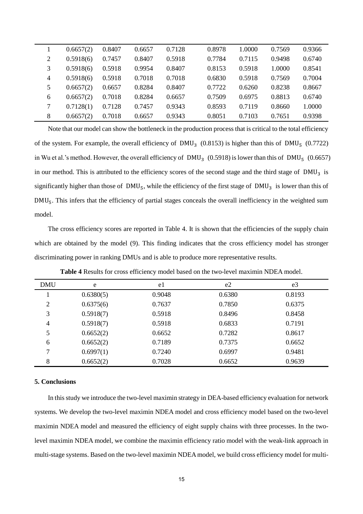|                | 0.6657(2) | 0.8407 | 0.6657 | 0.7128 | 0.8978 | 1.0000 | 0.7569 | 0.9366 |
|----------------|-----------|--------|--------|--------|--------|--------|--------|--------|
| $\overline{2}$ | 0.5918(6) | 0.7457 | 0.8407 | 0.5918 | 0.7784 | 0.7115 | 0.9498 | 0.6740 |
| 3              | 0.5918(6) | 0.5918 | 0.9954 | 0.8407 | 0.8153 | 0.5918 | 1.0000 | 0.8541 |
| $\overline{4}$ | 0.5918(6) | 0.5918 | 0.7018 | 0.7018 | 0.6830 | 0.5918 | 0.7569 | 0.7004 |
| 5              | 0.6657(2) | 0.6657 | 0.8284 | 0.8407 | 0.7722 | 0.6260 | 0.8238 | 0.8667 |
| 6              | 0.6657(2) | 0.7018 | 0.8284 | 0.6657 | 0.7509 | 0.6975 | 0.8813 | 0.6740 |
| 7              | 0.7128(1) | 0.7128 | 0.7457 | 0.9343 | 0.8593 | 0.7119 | 0.8660 | 1.0000 |
| 8              | 0.6657(2) | 0.7018 | 0.6657 | 0.9343 | 0.8051 | 0.7103 | 0.7651 | 0.9398 |

Note that our model can show the bottleneck in the production process that is critical to the total efficiency of the system. For example, the overall efficiency of DMU<sub>3</sub> (0.8153) is higher than this of DMU<sub>5</sub> (0.7722) in Wu et al.'s method. However, the overall efficiency of  $DMU_3$  (0.5918) is lower than this of  $DMU_5$  (0.6657) in our method. This is attributed to the efficiency scores of the second stage and the third stage of  $DMU<sub>3</sub>$  is significantly higher than those of  $DMU_5$ , while the efficiency of the first stage of  $DMU_3$  is lower than this of DMU5. This infers that the efficiency of partial stages conceals the overall inefficiency in the weighted sum model.

The cross efficiency scores are reported in Table 4. It is shown that the efficiencies of the supply chain which are obtained by the model (9). This finding indicates that the cross efficiency model has stronger discriminating power in ranking DMUs and is able to produce more representative results.

| <b>DMU</b>     | e         | e1     | e2     | e <sub>3</sub> |
|----------------|-----------|--------|--------|----------------|
|                | 0.6380(5) | 0.9048 | 0.6380 | 0.8193         |
| $\overline{2}$ | 0.6375(6) | 0.7637 | 0.7850 | 0.6375         |
| 3              | 0.5918(7) | 0.5918 | 0.8496 | 0.8458         |
| 4              | 0.5918(7) | 0.5918 | 0.6833 | 0.7191         |
| 5              | 0.6652(2) | 0.6652 | 0.7282 | 0.8617         |
| 6              | 0.6652(2) | 0.7189 | 0.7375 | 0.6652         |
| 7              | 0.6997(1) | 0.7240 | 0.6997 | 0.9481         |
| 8              | 0.6652(2) | 0.7028 | 0.6652 | 0.9639         |

**Table 4** Results for cross efficiency model based on the two-level maximin NDEA model.

# **5. Conclusions**

In this study we introduce the two-level maximin strategy in DEA-based efficiency evaluation for network systems. We develop the two-level maximin NDEA model and cross efficiency model based on the two-level maximin NDEA model and measured the efficiency of eight supply chains with three processes. In the twolevel maximin NDEA model, we combine the maximin efficiency ratio model with the weak-link approach in multi-stage systems. Based on the two-level maximin NDEA model, we build cross efficiency model for multi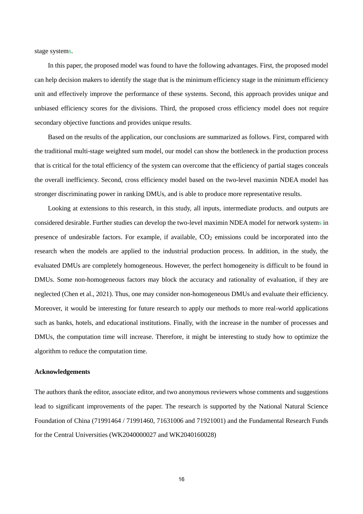stage systems.

In this paper, the proposed model was found to have the following advantages. First, the proposed model can help decision makers to identify the stage that is the minimum efficiency stage in the minimum efficiency unit and effectively improve the performance of these systems. Second, this approach provides unique and unbiased efficiency scores for the divisions. Third, the proposed cross efficiency model does not require secondary objective functions and provides unique results.

Based on the results of the application, our conclusions are summarized as follows. First, compared with the traditional multi-stage weighted sum model, our model can show the bottleneck in the production process that is critical for the total efficiency of the system can overcome that the efficiency of partial stages conceals the overall inefficiency. Second, cross efficiency model based on the two-level maximin NDEA model has stronger discriminating power in ranking DMUs, and is able to produce more representative results.

Looking at extensions to this research, in this study, all inputs, intermediate products, and outputs are considered desirable. Further studies can develop the two-level maximin NDEA model for network systems in presence of undesirable factors. For example, if available,  $CO<sub>2</sub>$  emissions could be incorporated into the research when the models are applied to the industrial production process. In addition, in the study, the evaluated DMUs are completely homogeneous. However, the perfect homogeneity is difficult to be found in DMUs. Some non-homogeneous factors may block the accuracy and rationality of evaluation, if they are neglected (Chen et al., 2021). Thus, one may consider non-homogeneous DMUs and evaluate their efficiency. Moreover, it would be interesting for future research to apply our methods to more real-world applications such as banks, hotels, and educational institutions. Finally, with the increase in the number of processes and DMUs, the computation time will increase. Therefore, it might be interesting to study how to optimize the algorithm to reduce the computation time.

# **Acknowledgements**

The authors thank the editor, associate editor, and two anonymous reviewers whose comments and suggestions lead to significant improvements of the paper. The research is supported by the National Natural Science Foundation of China (71991464 / 71991460, 71631006 and 71921001) and the Fundamental Research Funds for the Central Universities (WK2040000027 and WK2040160028)

16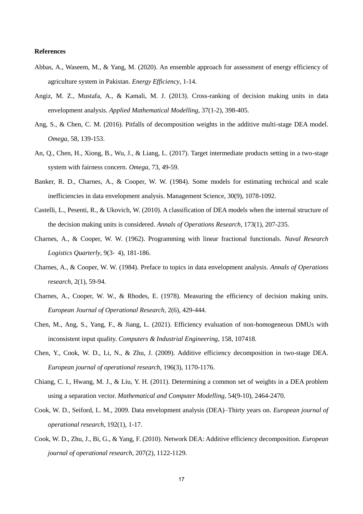## **References**

- Abbas, A., Waseem, M., & Yang, M. (2020). An ensemble approach for assessment of energy efficiency of agriculture system in Pakistan. *Energy Efficiency*, 1-14.
- Angiz, M. Z., Mustafa, A., & Kamali, M. J. (2013). Cross-ranking of decision making units in data envelopment analysis. *Applied Mathematical Modelling,* 37(1-2), 398-405.
- Ang, S., & Chen, C. M. (2016). Pitfalls of decomposition weights in the additive multi-stage DEA model. *Omega,* 58, 139-153.
- An, Q., Chen, H., Xiong, B., Wu, J., & Liang, L. (2017). Target intermediate products setting in a two-stage system with fairness concern. *Omega*, 73, 49-59.
- Banker, R. D., Charnes, A., & Cooper, W. W. (1984). Some models for estimating technical and scale inefficiencies in data envelopment analysis. Management Science, 30(9), 1078-1092.
- Castelli, L., Pesenti, R., & Ukovich, W. (2010). A classification of DEA models when the internal structure of the decision making units is considered. *Annals of Operations Research*, 173(1), 207-235.
- Charnes, A., & Cooper, W. W. (1962). Programming with linear fractional functionals. *Naval Research Logistics Quarterly*, 9(3‐ 4), 181-186.
- Charnes, A., & Cooper, W. W. (1984). Preface to topics in data envelopment analysis. *Annals of Operations research*, 2(1), 59-94.
- Charnes, A., Cooper, W. W., & Rhodes, E. (1978). Measuring the efficiency of decision making units. *European Journal of Operational Research*, 2(6), 429-444.
- Chen, M., Ang, S., Yang, F., & Jiang, L. (2021). Efficiency evaluation of non-homogeneous DMUs with inconsistent input quality. *Computers & Industrial Engineering*, 158, 107418.
- Chen, Y., Cook, W. D., Li, N., & Zhu, J. (2009). Additive efficiency decomposition in two-stage DEA. *European journal of operational research,* 196(3), 1170-1176.
- Chiang, C. I., Hwang, M. J., & Liu, Y. H. (2011). Determining a common set of weights in a DEA problem using a separation vector. *Mathematical and Computer Modelling,* 54(9-10), 2464-2470.
- Cook, W. D., Seiford, L. M., 2009. Data envelopment analysis (DEA)–Thirty years on. *European journal of operational research*, 192(1), 1-17.
- Cook, W. D., Zhu, J., Bi, G., & Yang, F. (2010). Network DEA: Additive efficiency decomposition. *European journal of operational research,* 207(2), 1122-1129.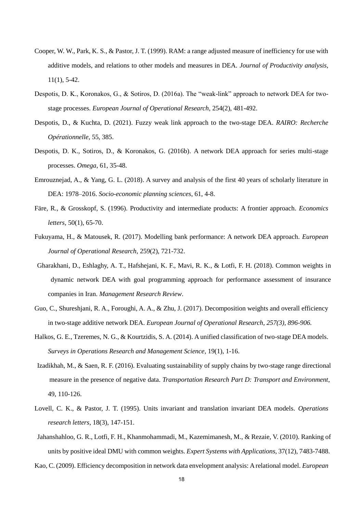- Cooper, W. W., Park, K. S., & Pastor, J. T. (1999). RAM: a range adjusted measure of inefficiency for use with additive models, and relations to other models and measures in DEA. *Journal of Productivity analysis*, 11(1), 5-42.
- Despotis, D. K., Koronakos, G., & Sotiros, D. (2016a). The "weak-link" approach to network DEA for twostage processes. *European Journal of Operational Research*, 254(2), 481-492.
- Despotis, D., & Kuchta, D. (2021). Fuzzy weak link approach to the two-stage DEA. *RAIRO: Recherche Opérationnelle*, 55, 385.
- Despotis, D. K., Sotiros, D., & Koronakos, G. (2016b). A network DEA approach for series multi-stage processes. *Omega*, 61, 35-48.
- Emrouznejad, A., & Yang, G. L. (2018). A survey and analysis of the first 40 years of scholarly literature in DEA: 1978–2016. *Socio-economic planning sciences*, 61, 4-8.
- Färe, R., & Grosskopf, S. (1996). Productivity and intermediate products: A frontier approach. *Economics letters,* 50(1), 65-70.
- Fukuyama, H., & Matousek, R. (2017). Modelling bank performance: A network DEA approach. *European Journal of Operational Research*, 259(2), 721-732.
- Gharakhani, D., Eshlaghy, A. T., Hafshejani, K. F., Mavi, R. K., & Lotfi, F. H. (2018). Common weights in dynamic network DEA with goal programming approach for performance assessment of insurance companies in Iran. *Management Research Review*.
- Guo, C., Shureshjani, R. A., Foroughi, A. A., & Zhu, J. (2017). Decomposition weights and overall efficiency in two-stage additive network DEA. *European Journal of Operational Research, 257(3), 896-906.*
- Halkos, G. E., Tzeremes, N. G., & Kourtzidis, S. A. (2014). A unified classification of two-stage DEA models. *Surveys in Operations Research and Management Science*, 19(1), 1-16.
- Izadikhah, M., & Saen, R. F. (2016). Evaluating sustainability of supply chains by two-stage range directional measure in the presence of negative data. *Transportation Research Part D: Transport and Environment*, 49, 110-126.
- Lovell, C. K., & Pastor, J. T. (1995). Units invariant and translation invariant DEA models. *Operations research letters*, 18(3), 147-151.
- Jahanshahloo, G. R., Lotfi, F. H., Khanmohammadi, M., Kazemimanesh, M., & Rezaie, V. (2010). Ranking of units by positive ideal DMU with common weights. *Expert Systems with Applications,* 37(12), 7483-7488.

Kao, C. (2009). Efficiency decomposition in network data envelopment analysis: A relational model. *European*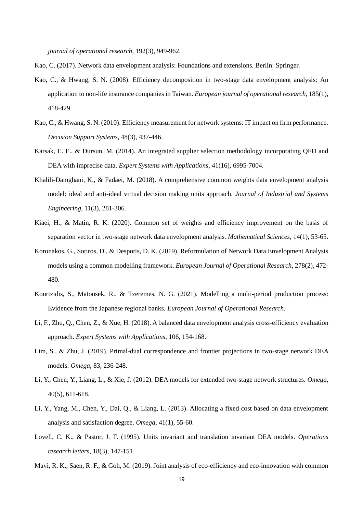*journal of operational research,* 192(3), 949-962.

- Kao, C. (2017). Network data envelopment analysis: Foundations and extensions. Berlin: Springer.
- Kao, C., & Hwang, S. N. (2008). Efficiency decomposition in two-stage data envelopment analysis: An application to non-life insurance companies in Taiwan. *European journal of operational research,* 185(1), 418-429.
- Kao, C., & Hwang, S. N. (2010). Efficiency measurement for network systems: IT impact on firm performance. *Decision Support Systems*, 48(3), 437-446.
- Karsak, E. E., & Dursun, M. (2014). An integrated supplier selection methodology incorporating QFD and DEA with imprecise data. *Expert Systems with Applications*, 41(16), 6995-7004.
- Khalili-Damghani, K., & Fadaei, M. (2018). A comprehensive common weights data envelopment analysis model: ideal and anti-ideal virtual decision making units approach. *Journal of Industrial and Systems Engineering*, 11(3), 281-306.
- Kiaei, H., & Matin, R. K. (2020). Common set of weights and efficiency improvement on the basis of separation vector in two-stage network data envelopment analysis. *Mathematical Sciences*, 14(1), 53-65.
- Koronakos, G., Sotiros, D., & Despotis, D. K. (2019). Reformulation of Network Data Envelopment Analysis models using a common modelling framework. *European Journal of Operational Research*, 278(2), 472- 480.
- Kourtzidis, S., Matousek, R., & Tzeremes, N. G. (2021). Modelling a multi-period production process: Evidence from the Japanese regional banks. *European Journal of Operational Research.*
- Li, F., Zhu, Q., Chen, Z., & Xue, H. (2018). A balanced data envelopment analysis cross-efficiency evaluation approach. *Expert Systems with Applications*, 106, 154-168.
- Lim, S., & Zhu, J. (2019). Primal-dual correspondence and frontier projections in two-stage network DEA models. *Omega*, 83, 236-248.
- Li, Y., Chen, Y., Liang, L., & Xie, J. (2012). DEA models for extended two-stage network structures. *Omega*, 40(5), 611-618.
- Li, Y., Yang, M., Chen, Y., Dai, Q., & Liang, L. (2013). Allocating a fixed cost based on data envelopment analysis and satisfaction degree. *Omega*, 41(1), 55-60.
- Lovell, C. K., & Pastor, J. T. (1995). Units invariant and translation invariant DEA models. *Operations research letters*, 18(3), 147-151.

Mavi, R. K., Saen, R. F., & Goh, M. (2019). Joint analysis of eco-efficiency and eco-innovation with common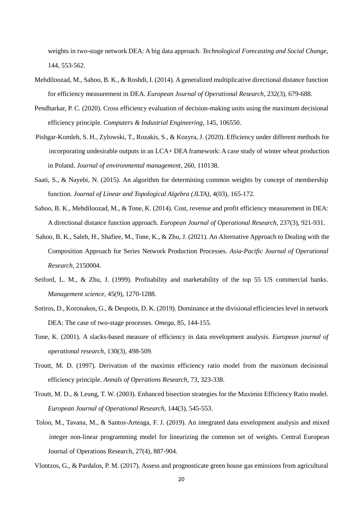weights in two-stage network DEA: A big data approach. *Technological Forecasting and Social Change*, 144, 553-562.

- Mehdiloozad, M., Sahoo, B. K., & Roshdi, I. (2014). A generalized multiplicative directional distance function for efficiency measurement in DEA. *European Journal of Operational Research*, 232(3), 679-688.
- Pendharkar, P. C. (2020). Cross efficiency evaluation of decision-making units using the maximum decisional efficiency principle. *Computers & Industrial Engineering*, 145, 106550.
- Pishgar-Komleh, S. H., Zylowski, T., Rozakis, S., & Kozyra, J. (2020). Efficiency under different methods for incorporating undesirable outputs in an LCA+ DEA framework: A case study of winter wheat production in Poland. *Journal of environmental management*, 260, 110138.
- Saati, S., & Nayebi, N. (2015). An algorithm for determining common weights by concept of membership function. *Journal of Linear and Topological Algebra (JLTA)*, 4(03), 165-172.
- Sahoo, B. K., Mehdiloozad, M., & Tone, K. (2014). Cost, revenue and profit efficiency measurement in DEA: A directional distance function approach. *European Journal of Operational Research*, 237(3), 921-931.
- Sahoo, B. K., Saleh, H., Shafiee, M., Tone, K., & Zhu, J. (2021). An Alternative Approach to Dealing with the Composition Approach for Series Network Production Processes. *Asia-Pacific Journal of Operational Research*, 2150004.
- Seiford, L. M., & Zhu, J. (1999). Profitability and marketability of the top 55 US commercial banks. *Management science*, 45(9), 1270-1288.
- Sotiros, D., Koronakos, G., & Despotis, D. K. (2019). Dominance at the divisional efficiencies level in network DEA: The case of two-stage processes. *Omega*, 85, 144-155.
- Tone, K. (2001). A slacks-based measure of efficiency in data envelopment analysis. *European journal of operational research*, 130(3), 498-509.
- Troutt, M. D. (1997). Derivation of the maximin efficiency ratio model from the maximum decisional efficiency principle. *Annals of Operations Research*, 73, 323-338.
- Troutt, M. D., & Leung, T. W. (2003). Enhanced bisection strategies for the Maximin Efficiency Ratio model. *European Journal of Operational Research*, 144(3), 545-553.
- Toloo, M., Tavana, M., & Santos-Arteaga, F. J. (2019). An integrated data envelopment analysis and mixed integer non-linear programming model for linearizing the common set of weights. Central European Journal of Operations Research, 27(4), 887-904.

Vlontzos, G., & Pardalos, P. M. (2017). Assess and prognosticate green house gas emissions from agricultural